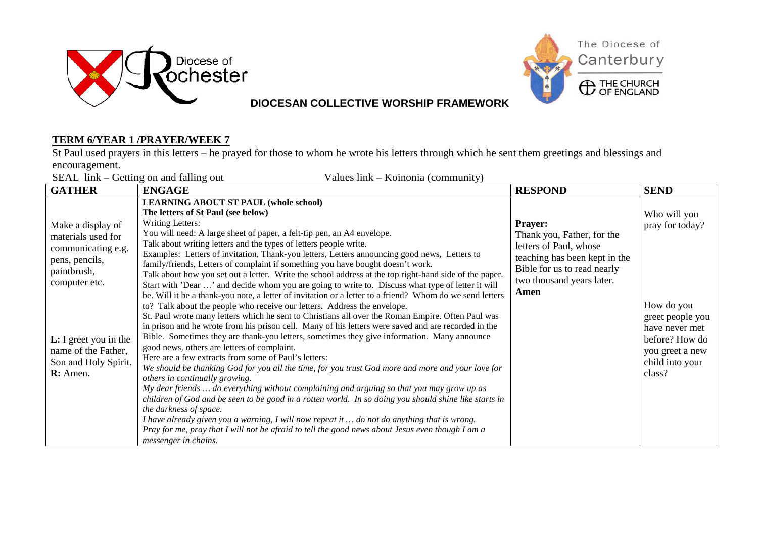



#### **TERM 6/YEAR 1 /PRAYER/WEEK 7**

St Paul used prayers in this letters – he prayed for those to whom he wrote his letters through which he sent them greetings and blessings and encouragement.

SEAL link – Getting on and falling out Values link – Koinonia (community)

| <b>GATHER</b>                                                                      | <b>ENGAGE</b>                                                                                                                                                                                                                                                                                                                                                                                                                                                                                                                                                                                                                                                                                                                                                                                        | <b>RESPOND</b>                                                                                          | <b>SEND</b>                                                    |
|------------------------------------------------------------------------------------|------------------------------------------------------------------------------------------------------------------------------------------------------------------------------------------------------------------------------------------------------------------------------------------------------------------------------------------------------------------------------------------------------------------------------------------------------------------------------------------------------------------------------------------------------------------------------------------------------------------------------------------------------------------------------------------------------------------------------------------------------------------------------------------------------|---------------------------------------------------------------------------------------------------------|----------------------------------------------------------------|
| Make a display of<br>materials used for<br>communicating e.g.<br>pens, pencils,    | <b>LEARNING ABOUT ST PAUL (whole school)</b><br>The letters of St Paul (see below)<br>Writing Letters:<br>You will need: A large sheet of paper, a felt-tip pen, an A4 envelope.<br>Talk about writing letters and the types of letters people write.<br>Examples: Letters of invitation, Thank-you letters, Letters announcing good news, Letters to                                                                                                                                                                                                                                                                                                                                                                                                                                                | <b>Prayer:</b><br>Thank you, Father, for the<br>letters of Paul, whose<br>teaching has been kept in the | Who will you<br>pray for today?                                |
| paintbrush,<br>computer etc.                                                       | family/friends, Letters of complaint if something you have bought doesn't work.<br>Talk about how you set out a letter. Write the school address at the top right-hand side of the paper.<br>Start with 'Dear ' and decide whom you are going to write to. Discuss what type of letter it will<br>be. Will it be a thank-you note, a letter of invitation or a letter to a friend? Whom do we send letters<br>to? Talk about the people who receive our letters. Address the envelope.<br>St. Paul wrote many letters which he sent to Christians all over the Roman Empire. Often Paul was<br>in prison and he wrote from his prison cell. Many of his letters were saved and are recorded in the                                                                                                   | Bible for us to read nearly<br>two thousand years later.<br>Amen                                        | How do you<br>greet people you<br>have never met               |
| $L: I$ greet you in the<br>name of the Father,<br>Son and Holy Spirit.<br>R: Amen. | Bible. Sometimes they are thank-you letters, sometimes they give information. Many announce<br>good news, others are letters of complaint.<br>Here are a few extracts from some of Paul's letters:<br>We should be thanking God for you all the time, for you trust God more and more and your love for<br>others in continually growing.<br>My dear friends  do everything without complaining and arguing so that you may grow up as<br>children of God and be seen to be good in a rotten world. In so doing you should shine like starts in<br>the darkness of space.<br>I have already given you a warning, I will now repeat it  do not do anything that is wrong.<br>Pray for me, pray that I will not be afraid to tell the good news about Jesus even though I am a<br>messenger in chains. |                                                                                                         | before? How do<br>you greet a new<br>child into your<br>class? |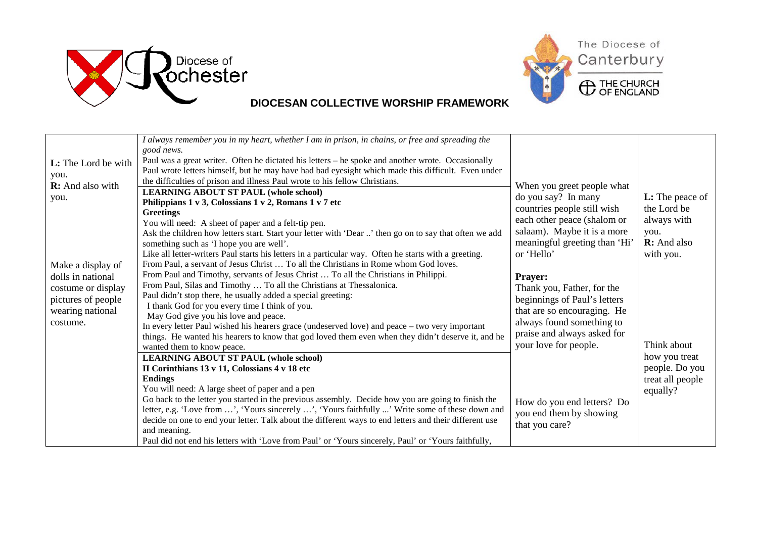



| L: The Lord be with<br>you.<br>R: And also with<br>you.<br>Make a display of<br>dolls in national<br>costume or display<br>pictures of people<br>wearing national<br>costume. | I always remember you in my heart, whether I am in prison, in chains, or free and spreading the<br>good news.<br>Paul was a great writer. Often he dictated his letters – he spoke and another wrote. Occasionally<br>Paul wrote letters himself, but he may have had bad eyesight which made this difficult. Even under<br>the difficulties of prison and illness Paul wrote to his fellow Christians.<br><b>LEARNING ABOUT ST PAUL (whole school)</b><br>Philippians 1 v 3, Colossians 1 v 2, Romans 1 v 7 etc<br><b>Greetings</b><br>You will need: A sheet of paper and a felt-tip pen.<br>Ask the children how letters start. Start your letter with 'Dear ' then go on to say that often we add<br>something such as 'I hope you are well'.<br>Like all letter-writers Paul starts his letters in a particular way. Often he starts with a greeting.<br>From Paul, a servant of Jesus Christ  To all the Christians in Rome whom God loves.<br>From Paul and Timothy, servants of Jesus Christ  To all the Christians in Philippi.<br>From Paul, Silas and Timothy  To all the Christians at Thessalonica.<br>Paul didn't stop there, he usually added a special greeting:<br>I thank God for you every time I think of you.<br>May God give you his love and peace.<br>In every letter Paul wished his hearers grace (undeserved love) and peace - two very important<br>things. He wanted his hearers to know that god loved them even when they didn't deserve it, and he<br>wanted them to know peace.<br><b>LEARNING ABOUT ST PAUL (whole school)</b><br>II Corinthians 13 v 11, Colossians 4 v 18 etc<br><b>Endings</b> | When you greet people what<br>do you say? In many<br>countries people still wish<br>each other peace (shalom or<br>salaam). Maybe it is a more<br>meaningful greeting than 'Hi'<br>or 'Hello'<br><b>Prayer:</b><br>Thank you, Father, for the<br>beginnings of Paul's letters<br>that are so encouraging. He<br>always found something to<br>praise and always asked for<br>your love for people. | <b>L:</b> The peace of<br>the Lord be<br>always with<br>you.<br><b>R:</b> And also<br>with you.<br>Think about<br>how you treat<br>people. Do you<br>treat all people |
|-------------------------------------------------------------------------------------------------------------------------------------------------------------------------------|-------------------------------------------------------------------------------------------------------------------------------------------------------------------------------------------------------------------------------------------------------------------------------------------------------------------------------------------------------------------------------------------------------------------------------------------------------------------------------------------------------------------------------------------------------------------------------------------------------------------------------------------------------------------------------------------------------------------------------------------------------------------------------------------------------------------------------------------------------------------------------------------------------------------------------------------------------------------------------------------------------------------------------------------------------------------------------------------------------------------------------------------------------------------------------------------------------------------------------------------------------------------------------------------------------------------------------------------------------------------------------------------------------------------------------------------------------------------------------------------------------------------------------------------------------------------------------------------------------------------------------------|---------------------------------------------------------------------------------------------------------------------------------------------------------------------------------------------------------------------------------------------------------------------------------------------------------------------------------------------------------------------------------------------------|-----------------------------------------------------------------------------------------------------------------------------------------------------------------------|
|                                                                                                                                                                               | You will need: A large sheet of paper and a pen<br>Go back to the letter you started in the previous assembly. Decide how you are going to finish the<br>letter, e.g. 'Love from ', 'Yours sincerely ', 'Yours faithfully ' Write some of these down and<br>decide on one to end your letter. Talk about the different ways to end letters and their different use<br>and meaning.<br>Paul did not end his letters with 'Love from Paul' or 'Yours sincerely, Paul' or 'Yours faithfully,                                                                                                                                                                                                                                                                                                                                                                                                                                                                                                                                                                                                                                                                                                                                                                                                                                                                                                                                                                                                                                                                                                                                           | How do you end letters? Do<br>you end them by showing<br>that you care?                                                                                                                                                                                                                                                                                                                           | equally?                                                                                                                                                              |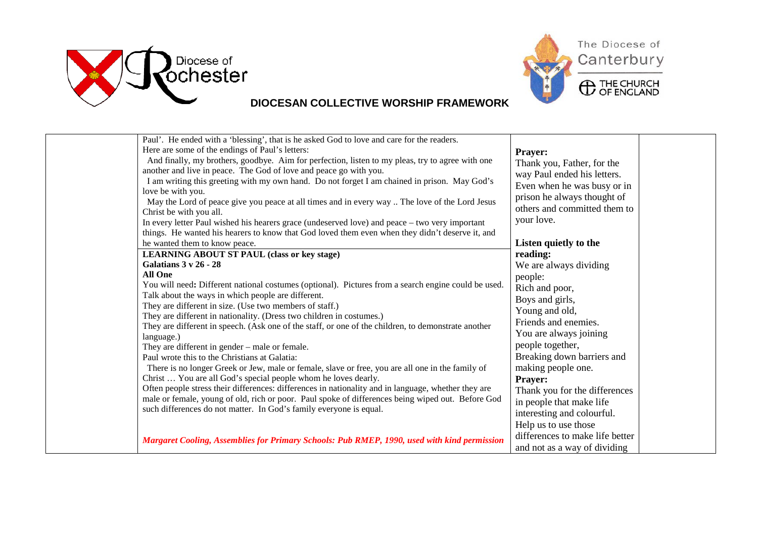



| Paul'. He ended with a 'blessing', that is he asked God to love and care for the readers.<br>Here are some of the endings of Paul's letters:<br>And finally, my brothers, goodbye. Aim for perfection, listen to my pleas, try to agree with one<br>another and live in peace. The God of love and peace go with you.<br>I am writing this greeting with my own hand. Do not forget I am chained in prison. May God's<br>love be with you.<br>May the Lord of peace give you peace at all times and in every way  The love of the Lord Jesus<br>Christ be with you all.<br>In every letter Paul wished his hearers grace (undeserved love) and peace - two very important<br>things. He wanted his hearers to know that God loved them even when they didn't deserve it, and<br>he wanted them to know peace.                                                                                                                                                                                                                                                                        | <b>Prayer:</b><br>Thank you, Father, for the<br>way Paul ended his letters.<br>Even when he was busy or in<br>prison he always thought of<br>others and committed them to<br>your love.<br>Listen quietly to the                                                                                                                                                    |  |
|--------------------------------------------------------------------------------------------------------------------------------------------------------------------------------------------------------------------------------------------------------------------------------------------------------------------------------------------------------------------------------------------------------------------------------------------------------------------------------------------------------------------------------------------------------------------------------------------------------------------------------------------------------------------------------------------------------------------------------------------------------------------------------------------------------------------------------------------------------------------------------------------------------------------------------------------------------------------------------------------------------------------------------------------------------------------------------------|---------------------------------------------------------------------------------------------------------------------------------------------------------------------------------------------------------------------------------------------------------------------------------------------------------------------------------------------------------------------|--|
| <b>LEARNING ABOUT ST PAUL (class or key stage)</b><br><b>Galatians 3 v 26 - 28</b><br><b>All One</b><br>You will need: Different national costumes (optional). Pictures from a search engine could be used.<br>Talk about the ways in which people are different.<br>They are different in size. (Use two members of staff.)<br>They are different in nationality. (Dress two children in costumes.)<br>They are different in speech. (Ask one of the staff, or one of the children, to demonstrate another<br>language.)<br>They are different in gender – male or female.<br>Paul wrote this to the Christians at Galatia:<br>There is no longer Greek or Jew, male or female, slave or free, you are all one in the family of<br>Christ  You are all God's special people whom he loves dearly.<br>Often people stress their differences: differences in nationality and in language, whether they are<br>male or female, young of old, rich or poor. Paul spoke of differences being wiped out. Before God<br>such differences do not matter. In God's family everyone is equal. | reading:<br>We are always dividing<br>people:<br>Rich and poor,<br>Boys and girls,<br>Young and old,<br>Friends and enemies.<br>You are always joining<br>people together,<br>Breaking down barriers and<br>making people one.<br><b>Prayer:</b><br>Thank you for the differences<br>in people that make life<br>interesting and colourful.<br>Help us to use those |  |
| Margaret Cooling, Assemblies for Primary Schools: Pub RMEP, 1990, used with kind permission                                                                                                                                                                                                                                                                                                                                                                                                                                                                                                                                                                                                                                                                                                                                                                                                                                                                                                                                                                                          | differences to make life better<br>and not as a way of dividing                                                                                                                                                                                                                                                                                                     |  |